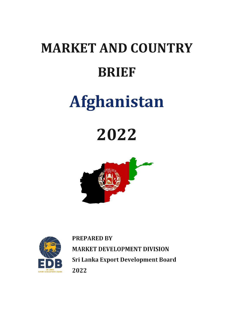# **MARKET AND COUNTRY BRIEF**

## **Afghanistan**

### **2022**





**PREPARED BY MARKET DEVELOPMENT DIVISION** Sri Lanka Export Development Board 2022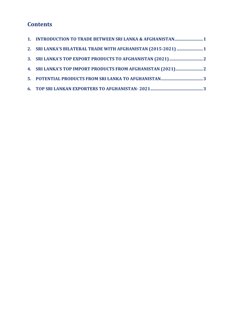### **Contents**

| 1. INTRODUCTION TO TRADE BETWEEN SRI LANKA & AFGHANISTAN 1     |
|----------------------------------------------------------------|
| 2. SRI LANKA'S BILATERAL TRADE WITH AFGHANISTAN (2015-2021)  1 |
|                                                                |
|                                                                |
|                                                                |
|                                                                |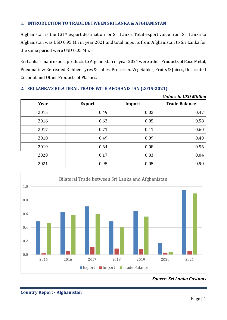#### <span id="page-2-0"></span>**1. INTRODUCTION TO TRADE BETWEEN SRI LANKA & AFGHANISTAN**

Afghanistan is the 131st export destination for Sri Lanka. Total export value from Sri Lanka to Afghanistan was USD 0.95 Mn in year 2021 and total imports from Afghanistan to Sri Lanka for the same period were USD 0.05 Mn.

Sri Lanka's main export products to Afghanistan in year 2021 were other Products of Base Metal, Pneumatic & Retreated Rubber Tyres & Tubes, Processed Vegetables, Fruits & Juices, Desiccated Coconut and Other Products of Plastics.

|      |               |        | <i>Values in USD Million</i> |
|------|---------------|--------|------------------------------|
| Year | <b>Export</b> | Import | <b>Trade Balance</b>         |
| 2015 | 0.49          | 0.02   | 0.47                         |
| 2016 | 0.63          | 0.05   | 0.58                         |
| 2017 | 0.71          | 0.11   | 0.60                         |
| 2018 | 0.49          | 0.09   | 0.40                         |
| 2019 | 0.64          | 0.08   | 0.56                         |
| 2020 | 0.17          | 0.03   | 0.04                         |
| 2021 | 0.95          | 0.05   | 0.90                         |

#### <span id="page-2-1"></span>**2. SRI LANKA'S BILATERAL TRADE WITH AFGHANISTAN (2015-2021)**



*Source: Sri Lanka Customs*

*Values in USD Million*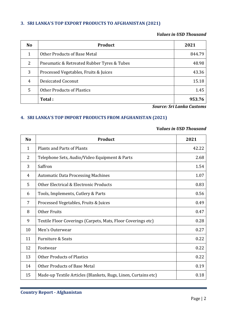#### <span id="page-3-0"></span>**3. SRI LANKA'S TOP EXPORT PRODUCTS TO AFGHANISTAN (2021)**

#### *Values in USD Thousand*

| <b>No</b> | Product                                    | 2021   |
|-----------|--------------------------------------------|--------|
| 1         | Other Products of Base Metal               | 844.79 |
| 2         | Pneumatic & Retreated Rubber Tyres & Tubes | 48.98  |
| 3         | Processed Vegetables, Fruits & Juices      | 43.36  |
| 4         | <b>Desiccated Coconut</b>                  | 15.18  |
| 5         | <b>Other Products of Plastics</b>          | 1.45   |
|           | Total:                                     | 953.76 |

*Source: Sri Lanka Customs*

#### <span id="page-3-1"></span>**4. SRI LANKA'S TOP IMPORT PRODUCTS FROM AFGHANISTAN (2021)**

#### **V***alues in USD Thousand*

| <b>No</b>      | <b>Product</b>                                                 | 2021  |
|----------------|----------------------------------------------------------------|-------|
| 1              | <b>Plants and Parts of Plants</b>                              | 42.22 |
| $\overline{2}$ | Telephone Sets, Audio/Video Equipment & Parts                  | 2.68  |
| 3              | Saffron                                                        | 1.54  |
| 4              | <b>Automatic Data Processing Machines</b>                      | 1.07  |
| 5              | Other Electrical & Electronic Products                         | 0.83  |
| 6              | Tools, Implements, Cutlery & Parts                             | 0.56  |
| 7              | Processed Vegetables, Fruits & Juices                          | 0.49  |
| 8              | Other Fruits                                                   | 0.47  |
| 9              | Textile Floor Coverings (Carpets, Mats, Floor Coverings etc)   | 0.28  |
| 10             | Men's Outerwear                                                | 0.27  |
| 11             | <b>Furniture &amp; Seats</b>                                   | 0.22  |
| 12             | Footwear                                                       | 0.22  |
| 13             | <b>Other Products of Plastics</b>                              | 0.22  |
| 14             | Other Products of Base Metal                                   | 0.19  |
| 15             | Made-up Textile Articles (Blankets, Rugs, Linen, Curtains etc) | 0.18  |